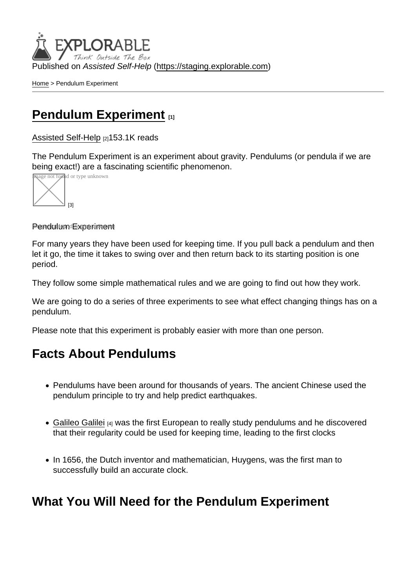Published on Assisted Self-Help [\(https://staging.explorable.com](https://staging.explorable.com))

[Home](https://staging.explorable.com/en) > Pendulum Experiment

### [Pendulum Experiment](https://staging.explorable.com/en/pendulum-experiment) [1]

[Assisted Self-Help](https://staging.explorable.com/en) [2]153.1K reads

The Pendulum Experiment is an experiment about gravity. Pendulums (or pendula if we are being exact!) are a fascinating scientific phenomenon.



#### Pendulum Experiment

For many years they have been used for keeping time. If you pull back a pendulum and then let it go, the time it takes to swing over and then return back to its starting position is one period.

They follow some simple mathematical rules and we are going to find out how they work.

We are going to do a series of three experiments to see what effect changing things has on a pendulum.

Please note that this experiment is probably easier with more than one person.

### Facts About Pendulums

- Pendulums have been around for thousands of years. The ancient Chinese used the pendulum principle to try and help predict earthquakes.
- [Galileo Galilei](https://staging.explorable.com/galileo-galilei) [4] was the first European to really study pendulums and he discovered that their regularity could be used for keeping time, leading to the first clocks
- In 1656, the Dutch inventor and mathematician, Huygens, was the first man to successfully build an accurate clock.

What You Will Need for the Pendulum Experiment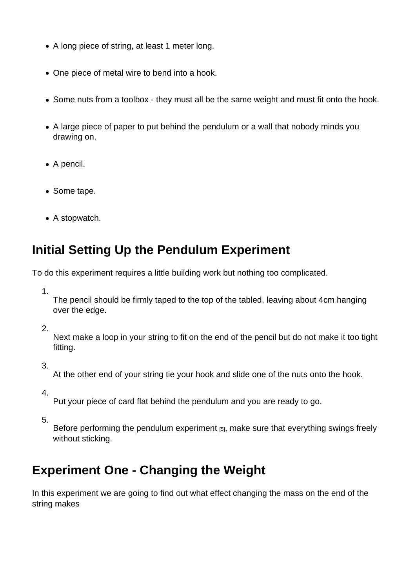- A long piece of string, at least 1 meter long.
- One piece of metal wire to bend into a hook.
- Some nuts from a toolbox they must all be the same weight and must fit onto the hook.
- A large piece of paper to put behind the pendulum or a wall that nobody minds you drawing on.
- A pencil.
- Some tape.
- A stopwatch.

## Initial Setting Up the Pendulum Experiment

To do this experiment requires a little building work but nothing too complicated.

1.

The pencil should be firmly taped to the top of the tabled, leaving about 4cm hanging over the edge.

2.

Next make a loop in your string to fit on the end of the pencil but do not make it too tight fitting.

3.

At the other end of your string tie your hook and slide one of the nuts onto the hook.

4.

Put your piece of card flat behind the pendulum and you are ready to go.

5.

Before performing the [pendulum experiment](http://electronics.howstuffworks.com/gadgets/clocks-watches/clock3.htm) [5], make sure that everything swings freely without sticking.

## Experiment One - Changing the Weight

In this experiment we are going to find out what effect changing the mass on the end of the string makes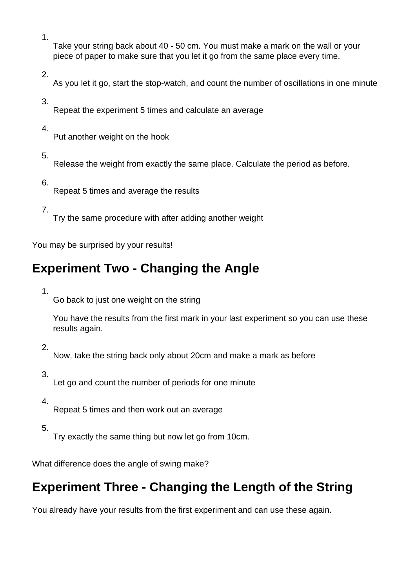1.

Take your string back about 40 - 50 cm. You must make a mark on the wall or your piece of paper to make sure that you let it go from the same place every time.

2.

As you let it go, start the stop-watch, and count the number of oscillations in one minute

3.

Repeat the experiment 5 times and calculate an average

4.

Put another weight on the hook

5.

Release the weight from exactly the same place. Calculate the period as before.

6.

Repeat 5 times and average the results

7.

Try the same procedure with after adding another weight

You may be surprised by your results!

# **Experiment Two - Changing the Angle**

1.

Go back to just one weight on the string

You have the results from the first mark in your last experiment so you can use these results again.

2.

Now, take the string back only about 20cm and make a mark as before

3.

Let go and count the number of periods for one minute

4.

Repeat 5 times and then work out an average

5.

Try exactly the same thing but now let go from 10cm.

What difference does the angle of swing make?

## **Experiment Three - Changing the Length of the String**

You already have your results from the first experiment and can use these again.